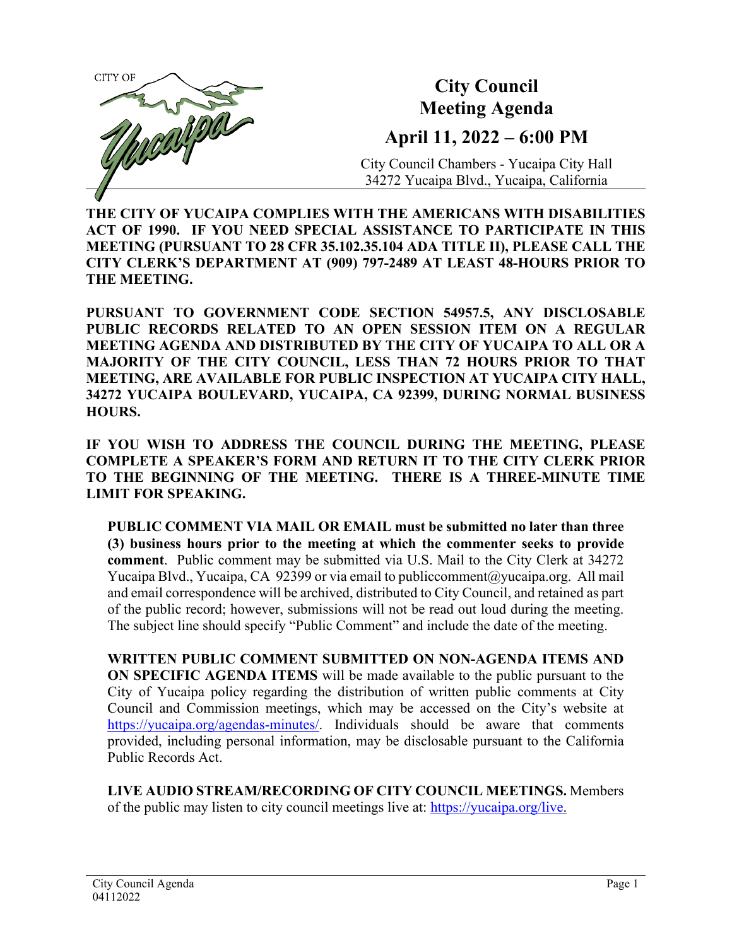

**THE CITY OF YUCAIPA COMPLIES WITH THE AMERICANS WITH DISABILITIES ACT OF 1990. IF YOU NEED SPECIAL ASSISTANCE TO PARTICIPATE IN THIS MEETING (PURSUANT TO 28 CFR 35.102.35.104 ADA TITLE II), PLEASE CALL THE CITY CLERK'S DEPARTMENT AT (909) 797-2489 AT LEAST 48-HOURS PRIOR TO THE MEETING.**

**PURSUANT TO GOVERNMENT CODE SECTION 54957.5, ANY DISCLOSABLE PUBLIC RECORDS RELATED TO AN OPEN SESSION ITEM ON A REGULAR MEETING AGENDA AND DISTRIBUTED BY THE CITY OF YUCAIPA TO ALL OR A MAJORITY OF THE CITY COUNCIL, LESS THAN 72 HOURS PRIOR TO THAT MEETING, ARE AVAILABLE FOR PUBLIC INSPECTION AT YUCAIPA CITY HALL, 34272 YUCAIPA BOULEVARD, YUCAIPA, CA 92399, DURING NORMAL BUSINESS HOURS.**

**IF YOU WISH TO ADDRESS THE COUNCIL DURING THE MEETING, PLEASE COMPLETE A SPEAKER'S FORM AND RETURN IT TO THE CITY CLERK PRIOR TO THE BEGINNING OF THE MEETING. THERE IS A THREE-MINUTE TIME LIMIT FOR SPEAKING.**

**PUBLIC COMMENT VIA MAIL OR EMAIL must be submitted no later than three (3) business hours prior to the meeting at which the commenter seeks to provide comment**. Public comment may be submitted via U.S. Mail to the City Clerk at 34272 Yucaipa Blvd., Yucaipa, CA 92399 or via email t[o publiccomment@yucaipa.org.](mailto:publiccomment@yucaipa.org) All mail and email correspondence will be archived, distributed to City Council, and retained as part of the public record; however, submissions will not be read out loud during the meeting. The subject line should specify "Public Comment" and include the date of the meeting.

**WRITTEN PUBLIC COMMENT SUBMITTED ON NON-AGENDA ITEMS AND ON SPECIFIC AGENDA ITEMS** will be made available to the public pursuant to the City of Yucaipa policy regarding the distribution of written public comments at City Council and Commission meetings, which may be accessed on the City's website at [https://yucaipa.org/agendas-minutes/.](https://yucaipa.org/agendas-minutes/) Individuals should be aware that comments provided, including personal information, may be disclosable pursuant to the California Public Records Act.

**LIVE AUDIO STREAM/RECORDING OF CITY COUNCIL MEETINGS.** Members of the public may listen to city council meetings live at: [https://yucaipa.org/live.](https://yucaipa.org/live)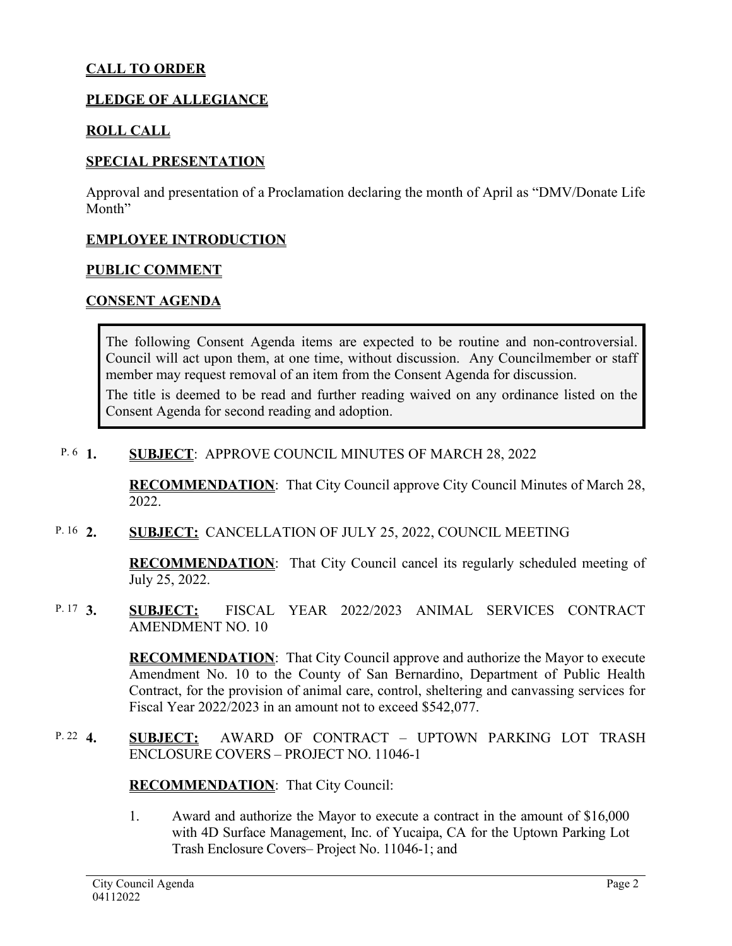### **CALL TO ORDER**

#### **PLEDGE OF ALLEGIANCE**

#### **ROLL CALL**

#### **SPECIAL PRESENTATION**

Approval and presentation of a Proclamation declaring the month of April as "DMV/Donate Life Month"

#### **EMPLOYEE INTRODUCTION**

#### **PUBLIC COMMENT**

#### **CONSENT AGENDA**

The following Consent Agenda items are expected to be routine and non-controversial. Council will act upon them, at one time, without discussion. Any Councilmember or staff member may request removal of an item from the Consent Agenda for discussion.

The title is deemed to be read and further reading waived on any ordinance listed on the Consent Agenda for second reading and adoption.

#### **1. SUBJECT**: APPROVE COUNCIL MINUTES OF MARCH 28, 2022 P.  $6<sup>1</sup>$ .

**RECOMMENDATION**:That City Council approve City Council Minutes of March 28, 2022.

**2. SUBJECT:** CANCELLATION OF JULY 25, 2022, COUNCIL MEETING P. 16 2.

> **RECOMMENDATION**:That City Council cancel its regularly scheduled meeting of July 25, 2022.

#### **3. SUBJECT:** FISCAL YEAR 2022/2023 ANIMAL SERVICES CONTRACT AMENDMENT NO. 10 P. 17  $3$ .

**RECOMMENDATION**:That City Council approve and authorize the Mayor to execute Amendment No. 10 to the County of San Bernardino, Department of Public Health Contract, for the provision of animal care, control, sheltering and canvassing services for Fiscal Year 2022/2023 in an amount not to exceed \$542,077.

**4. SUBJECT:** AWARD OF CONTRACT – UPTOWN PARKING LOT TRASH ENCLOSURE COVERS – PROJECT NO. 11046-1 P. 22  $4$ .

**RECOMMENDATION**:That City Council:

1. Award and authorize the Mayor to execute a contract in the amount of \$16,000 with 4D Surface Management, Inc. of Yucaipa, CA for the Uptown Parking Lot Trash Enclosure Covers– Project No. 11046-1; and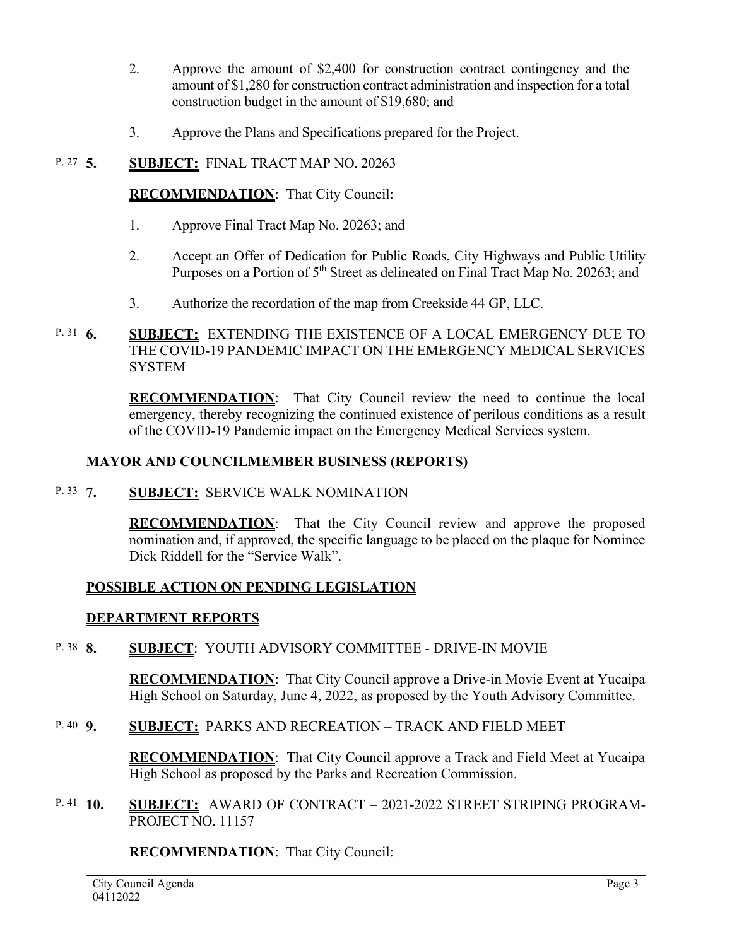- 2. Approve the amount of \$2,400 for construction contract contingency and the amount of \$1,280 for construction contract administration and inspection for a total construction budget in the amount of \$19,680; and
- 3. Approve the Plans and Specifications prepared for the Project.

#### **5. SUBJECT:** FINAL TRACT MAP NO. 20263 P. 27  $\,$  5.

#### **RECOMMENDATION**:That City Council:

- 1. Approve Final Tract Map No. 20263; and
- 2. Accept an Offer of Dedication for Public Roads, City Highways and Public Utility Purposes on a Portion of 5<sup>th</sup> Street as delineated on Final Tract Map No. 20263; and
- 3. Authorize the recordation of the map from Creekside 44 GP, LLC.
- **6. SUBJECT:** EXTENDING THE EXISTENCE OF A LOCAL EMERGENCY DUE TO THE COVID-19 PANDEMIC IMPACT ON THE EMERGENCY MEDICAL SERVICES **SYSTEM** P. 31  $6.$

**RECOMMENDATION**:That City Council review the need to continue the local emergency, thereby recognizing the continued existence of perilous conditions as a result of the COVID-19 Pandemic impact on the Emergency Medical Services system.

#### **MAYOR AND COUNCILMEMBER BUSINESS (REPORTS)**

**7. SUBJECT:** SERVICE WALK NOMINATION P. 33 7.

> **RECOMMENDATION**: That the City Council review and approve the proposed nomination and, if approved, the specific language to be placed on the plaque for Nominee Dick Riddell for the "Service Walk".

#### **POSSIBLE ACTION ON PENDING LEGISLATION**

#### **DEPARTMENT REPORTS**

**8. SUBJECT**: YOUTH ADVISORY COMMITTEE - DRIVE-IN MOVIE P. 38 **8** 

> **RECOMMENDATION**:That City Council approve a Drive-in Movie Event at Yucaipa High School on Saturday, June 4, 2022, as proposed by the Youth Advisory Committee.

**9. SUBJECT:** PARKS AND RECREATION – TRACK AND FIELD MEET P.  $40\quad9$ .

> **RECOMMENDATION**:That City Council approve a Track and Field Meet at Yucaipa High School as proposed by the Parks and Recreation Commission.

**10. SUBJECT:** AWARD OF CONTRACT – 2021-2022 STREET STRIPING PROGRAM-PROJECT NO. 11157 P. 41  $10.$ 

#### **RECOMMENDATION**:That City Council: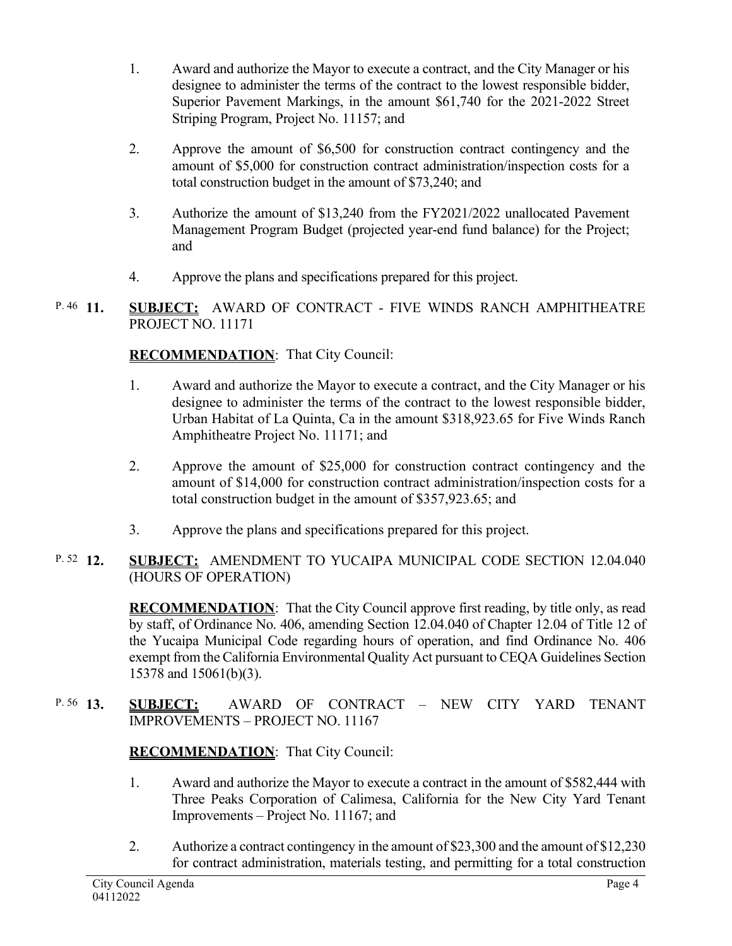- 1. Award and authorize the Mayor to execute a contract, and the City Manager or his designee to administer the terms of the contract to the lowest responsible bidder, Superior Pavement Markings, in the amount \$61,740 for the 2021-2022 Street Striping Program, Project No. 11157; and
- 2. Approve the amount of \$6,500 for construction contract contingency and the amount of \$5,000 for construction contract administration/inspection costs for a total construction budget in the amount of \$73,240; and
- 3. Authorize the amount of \$13,240 from the FY2021/2022 unallocated Pavement Management Program Budget (projected year-end fund balance) for the Project; and
- 4. Approve the plans and specifications prepared for this project.
- **SUBJECT:** AWARD OF CONTRACT FIVE WINDS RANCH AMPHITHEATRE PROJECT NO. 11171  $P. 46$  11

# **RECOMMENDATION**:That City Council:

- 1. Award and authorize the Mayor to execute a contract, and the City Manager or his designee to administer the terms of the contract to the lowest responsible bidder, Urban Habitat of La Quinta, Ca in the amount \$318,923.65 for Five Winds Ranch Amphitheatre Project No. 11171; and
- 2. Approve the amount of \$25,000 for construction contract contingency and the amount of \$14,000 for construction contract administration/inspection costs for a total construction budget in the amount of \$357,923.65; and
- 3. Approve the plans and specifications prepared for this project.

#### **12. SUBJECT:** AMENDMENT TO YUCAIPA MUNICIPAL CODE SECTION 12.04.040 (HOURS OF OPERATION) P.  $52 \quad 12.$

**RECOMMENDATION**:That the City Council approve first reading, by title only, as read by staff, of Ordinance No. 406, amending Section 12.04.040 of Chapter 12.04 of Title 12 of the Yucaipa Municipal Code regarding hours of operation, and find Ordinance No. 406 exempt from the California Environmental Quality Act pursuant to CEQA Guidelines Section 15378 and 15061(b)(3).

**13. SUBJECT:** AWARD OF CONTRACT – NEW CITY YARD TENANT IMPROVEMENTS – PROJECT NO. 11167 P. 56 13.

# **RECOMMENDATION**:That City Council:

- 1. Award and authorize the Mayor to execute a contract in the amount of \$582,444 with Three Peaks Corporation of Calimesa, California for the New City Yard Tenant Improvements – Project No. 11167; and
- 2. Authorize a contract contingency in the amount of \$23,300 and the amount of \$12,230 for contract administration, materials testing, and permitting for a total construction